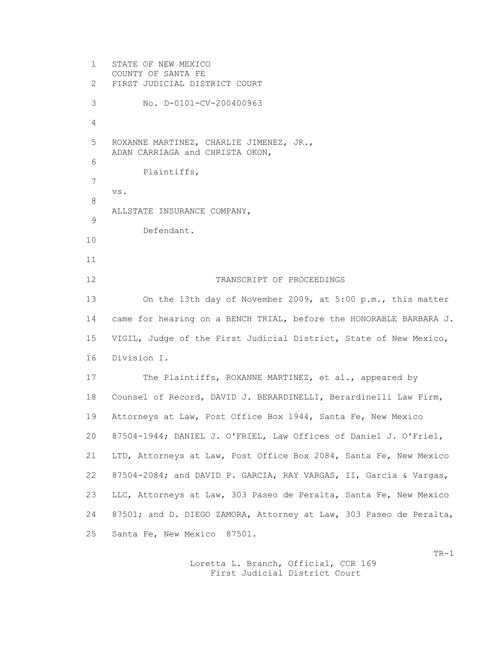1 STATE OF NEW MEXICO COUNTY OF SANTA FE 2 FIRST JUDICIAL DISTRICT COURT 3 No. D-0101-CV-200400963 4 5 ROXANNE MARTINEZ, CHARLIE JIMENEZ, JR., ADAN CARRIAGA and CHRISTA OKON, 6 Plaintiffs, 7 vs. 8 ALLSTATE INSURANCE COMPANY, 9 Defendant. 10 11 12 TRANSCRIPT OF PROCEEDINGS 13 On the 13th day of November 2009, at 5:00 p.m., this matter 14 came for hearing on a BENCH TRIAL, before the HONORABLE BARBARA J. 15 VIGIL, Judge of the First Judicial District, State of New Mexico, 16 Division I. 17 The Plaintiffs, ROXANNE MARTINEZ, et al., appeared by 18 Counsel of Record, DAVID J. BERARDINELLI, Berardinelli Law Firm, 19 Attorneys at Law, Post Office Box 1944, Santa Fe, New Mexico 20 87504-1944; DANIEL J. O'FRIEL, Law Offices of Daniel J. O'Friel, 21 LTD, Attorneys at Law, Post Office Box 2084, Santa Fe, New Mexico 22 87504-2084; and DAVID P. GARCIA, RAY VARGAS, II, Garcia & Vargas, 23 LLC, Attorneys at Law, 303 Paseo de Peralta, Santa Fe, New Mexico 24 87501; and D. DIEGO ZAMORA, Attorney at Law, 303 Paseo de Peralta, 25 Santa Fe, New Mexico 87501.

> Loretta L. Branch, Official, CCR 169 First Judicial District Court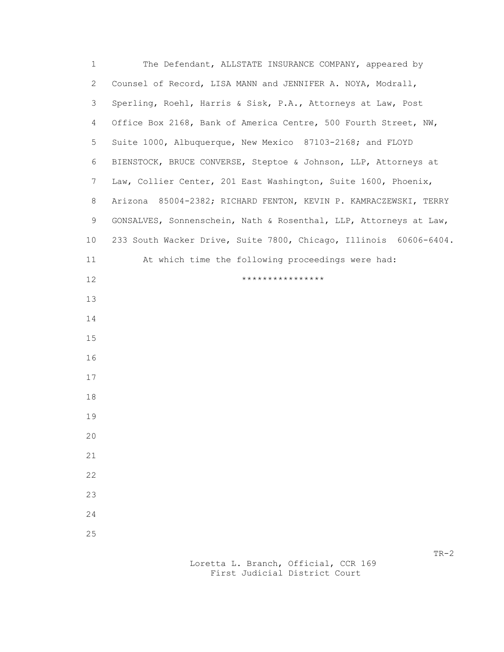| 1            | The Defendant, ALLSTATE INSURANCE COMPANY, appeared by            |
|--------------|-------------------------------------------------------------------|
| $\mathbf{2}$ | Counsel of Record, LISA MANN and JENNIFER A. NOYA, Modrall,       |
| 3            | Sperling, Roehl, Harris & Sisk, P.A., Attorneys at Law, Post      |
| 4            | Office Box 2168, Bank of America Centre, 500 Fourth Street, NW,   |
| 5            | Suite 1000, Albuquerque, New Mexico 87103-2168; and FLOYD         |
| 6            | BIENSTOCK, BRUCE CONVERSE, Steptoe & Johnson, LLP, Attorneys at   |
| 7            | Law, Collier Center, 201 East Washington, Suite 1600, Phoenix,    |
| 8            | Arizona 85004-2382; RICHARD FENTON, KEVIN P. KAMRACZEWSKI, TERRY  |
| 9            | GONSALVES, Sonnenschein, Nath & Rosenthal, LLP, Attorneys at Law, |
| 10           | 233 South Wacker Drive, Suite 7800, Chicago, Illinois 60606-6404. |
| 11           | At which time the following proceedings were had:                 |
| 12           | ****************                                                  |
| 13           |                                                                   |
| 14           |                                                                   |
| 15           |                                                                   |
| 16           |                                                                   |
| 17           |                                                                   |
| 18           |                                                                   |
| 19           |                                                                   |
| 20           |                                                                   |
| 21           |                                                                   |
| 22           |                                                                   |
| 23           |                                                                   |
| 24           |                                                                   |
| 25           |                                                                   |
|              | $TR-2$                                                            |

 Loretta L. Branch, Official, CCR 169 First Judicial District Court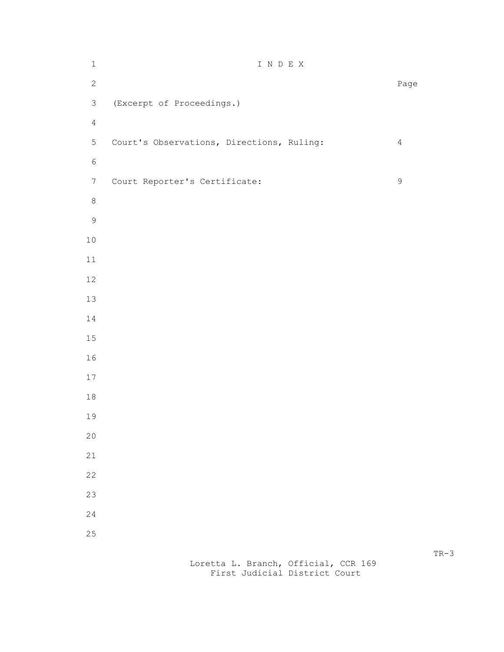| $\,1$            | I N D E X                                 |                |
|------------------|-------------------------------------------|----------------|
| $\mathbf{2}$     |                                           | Page           |
| $\mathfrak{Z}$   | (Excerpt of Proceedings.)                 |                |
| $\sqrt{4}$       |                                           |                |
| 5                | Court's Observations, Directions, Ruling: | $\overline{4}$ |
| $\epsilon$       |                                           |                |
| $\boldsymbol{7}$ | Court Reporter's Certificate:             | $\mathsf 9$    |
| $\,8\,$          |                                           |                |
| $\mathsf 9$      |                                           |                |
| $10$             |                                           |                |
| $11\,$           |                                           |                |
| 12               |                                           |                |
| 13               |                                           |                |
| 14               |                                           |                |
| 15               |                                           |                |
| 16               |                                           |                |
| $17$             |                                           |                |
| $1\,8$           |                                           |                |
| 19               |                                           |                |
| $20$             |                                           |                |
| 21               |                                           |                |
| 22               |                                           |                |
| 23<br>24         |                                           |                |
| 25               |                                           |                |
|                  |                                           |                |

 Loretta L. Branch, Official, CCR 169 First Judicial District Court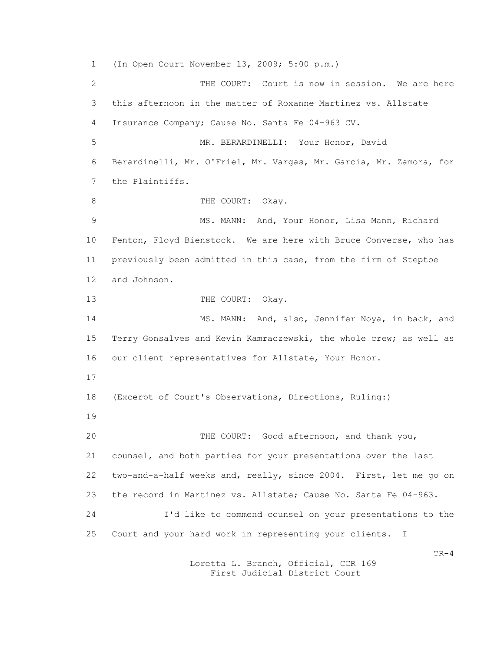1 (In Open Court November 13, 2009; 5:00 p.m.) 2 THE COURT: Court is now in session. We are here 3 this afternoon in the matter of Roxanne Martinez vs. Allstate 4 Insurance Company; Cause No. Santa Fe 04-963 CV. 5 MR. BERARDINELLI: Your Honor, David 6 Berardinelli, Mr. O'Friel, Mr. Vargas, Mr. Garcia, Mr. Zamora, for 7 the Plaintiffs. 8 THE COURT: Okay. 9 MS. MANN: And, Your Honor, Lisa Mann, Richard 10 Fenton, Floyd Bienstock. We are here with Bruce Converse, who has 11 previously been admitted in this case, from the firm of Steptoe 12 and Johnson. 13 THE COURT: Okay. 14 MS. MANN: And, also, Jennifer Noya, in back, and 15 Terry Gonsalves and Kevin Kamraczewski, the whole crew; as well as 16 our client representatives for Allstate, Your Honor. 17 18 (Excerpt of Court's Observations, Directions, Ruling:) 19 20 THE COURT: Good afternoon, and thank you, 21 counsel, and both parties for your presentations over the last 22 two-and-a-half weeks and, really, since 2004. First, let me go on 23 the record in Martinez vs. Allstate; Cause No. Santa Fe 04-963. 24 I'd like to commend counsel on your presentations to the 25 Court and your hard work in representing your clients. I  $TR-4$ 

> Loretta L. Branch, Official, CCR 169 First Judicial District Court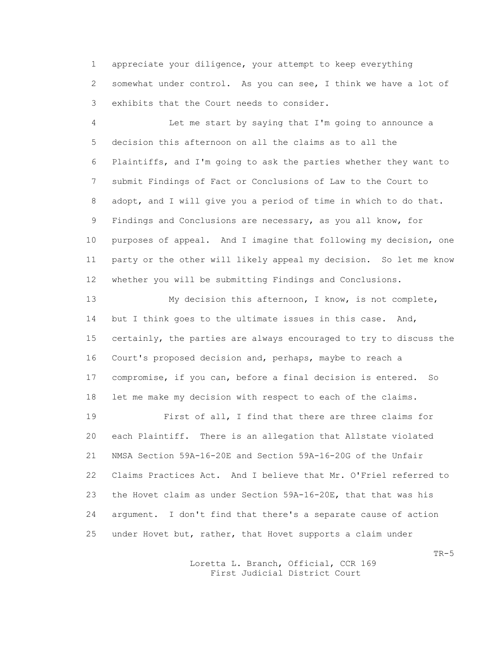1 appreciate your diligence, your attempt to keep everything 2 somewhat under control. As you can see, I think we have a lot of 3 exhibits that the Court needs to consider.

 4 Let me start by saying that I'm going to announce a 5 decision this afternoon on all the claims as to all the 6 Plaintiffs, and I'm going to ask the parties whether they want to 7 submit Findings of Fact or Conclusions of Law to the Court to 8 adopt, and I will give you a period of time in which to do that. 9 Findings and Conclusions are necessary, as you all know, for 10 purposes of appeal. And I imagine that following my decision, one 11 party or the other will likely appeal my decision. So let me know 12 whether you will be submitting Findings and Conclusions.

 13 My decision this afternoon, I know, is not complete, 14 but I think goes to the ultimate issues in this case. And, 15 certainly, the parties are always encouraged to try to discuss the 16 Court's proposed decision and, perhaps, maybe to reach a 17 compromise, if you can, before a final decision is entered. So 18 let me make my decision with respect to each of the claims.

 19 First of all, I find that there are three claims for 20 each Plaintiff. There is an allegation that Allstate violated 21 NMSA Section 59A-16-20E and Section 59A-16-20G of the Unfair 22 Claims Practices Act. And I believe that Mr. O'Friel referred to 23 the Hovet claim as under Section 59A-16-20E, that that was his 24 argument. I don't find that there's a separate cause of action 25 under Hovet but, rather, that Hovet supports a claim under

> Loretta L. Branch, Official, CCR 169 First Judicial District Court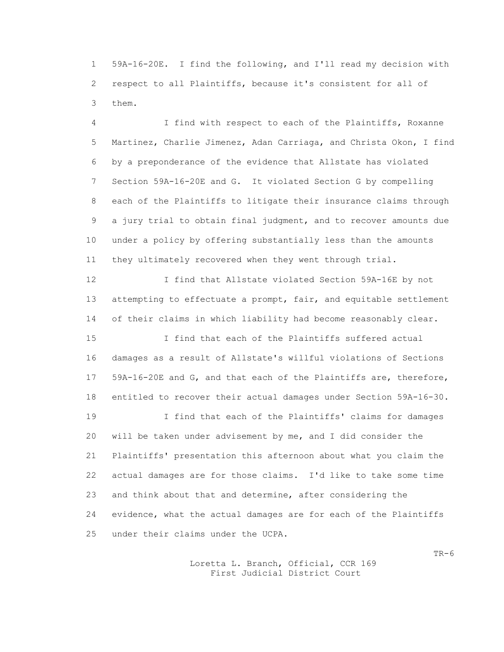1 59A-16-20E. I find the following, and I'll read my decision with 2 respect to all Plaintiffs, because it's consistent for all of 3 them.

 4 I find with respect to each of the Plaintiffs, Roxanne 5 Martinez, Charlie Jimenez, Adan Carriaga, and Christa Okon, I find 6 by a preponderance of the evidence that Allstate has violated 7 Section 59A-16-20E and G. It violated Section G by compelling 8 each of the Plaintiffs to litigate their insurance claims through 9 a jury trial to obtain final judgment, and to recover amounts due 10 under a policy by offering substantially less than the amounts 11 they ultimately recovered when they went through trial.

 12 I find that Allstate violated Section 59A-16E by not 13 attempting to effectuate a prompt, fair, and equitable settlement 14 of their claims in which liability had become reasonably clear.

 15 I find that each of the Plaintiffs suffered actual 16 damages as a result of Allstate's willful violations of Sections 17 59A-16-20E and G, and that each of the Plaintiffs are, therefore, 18 entitled to recover their actual damages under Section 59A-16-30.

 19 I find that each of the Plaintiffs' claims for damages 20 will be taken under advisement by me, and I did consider the 21 Plaintiffs' presentation this afternoon about what you claim the 22 actual damages are for those claims. I'd like to take some time 23 and think about that and determine, after considering the 24 evidence, what the actual damages are for each of the Plaintiffs 25 under their claims under the UCPA.

> Loretta L. Branch, Official, CCR 169 First Judicial District Court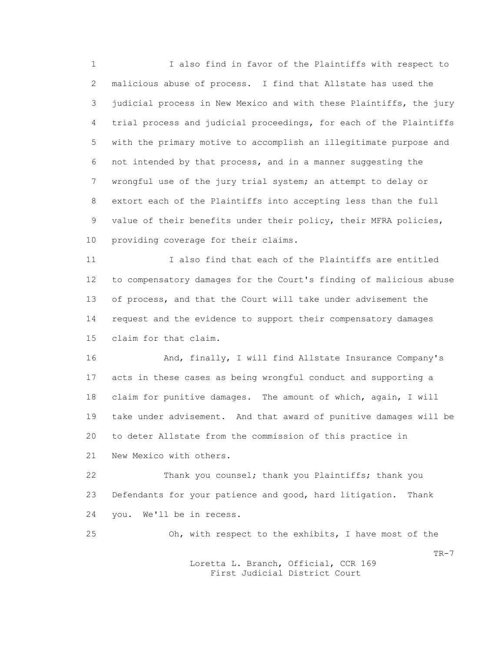1 I also find in favor of the Plaintiffs with respect to 2 malicious abuse of process. I find that Allstate has used the 3 judicial process in New Mexico and with these Plaintiffs, the jury 4 trial process and judicial proceedings, for each of the Plaintiffs 5 with the primary motive to accomplish an illegitimate purpose and 6 not intended by that process, and in a manner suggesting the 7 wrongful use of the jury trial system; an attempt to delay or 8 extort each of the Plaintiffs into accepting less than the full 9 value of their benefits under their policy, their MFRA policies, 10 providing coverage for their claims.

 11 I also find that each of the Plaintiffs are entitled 12 to compensatory damages for the Court's finding of malicious abuse 13 of process, and that the Court will take under advisement the 14 request and the evidence to support their compensatory damages 15 claim for that claim.

 16 And, finally, I will find Allstate Insurance Company's 17 acts in these cases as being wrongful conduct and supporting a 18 claim for punitive damages. The amount of which, again, I will 19 take under advisement. And that award of punitive damages will be 20 to deter Allstate from the commission of this practice in 21 New Mexico with others.

 22 Thank you counsel; thank you Plaintiffs; thank you 23 Defendants for your patience and good, hard litigation. Thank 24 you. We'll be in recess.

 25 Oh, with respect to the exhibits, I have most of the  $TR-7$  Loretta L. Branch, Official, CCR 169 First Judicial District Court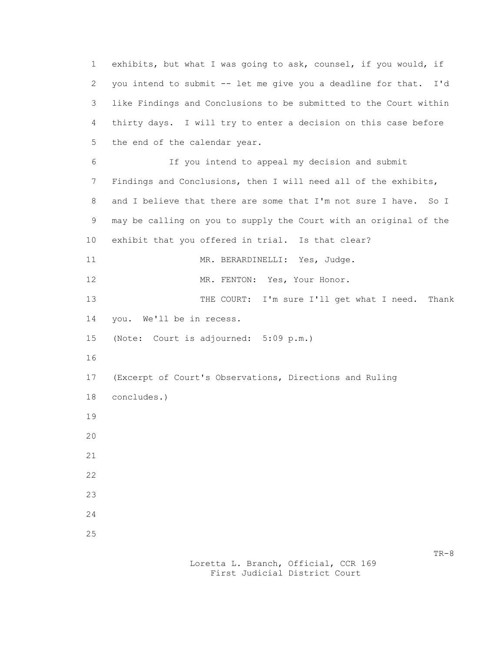1 exhibits, but what I was going to ask, counsel, if you would, if 2 you intend to submit -- let me give you a deadline for that. I'd 3 like Findings and Conclusions to be submitted to the Court within 4 thirty days. I will try to enter a decision on this case before 5 the end of the calendar year. 6 If you intend to appeal my decision and submit 7 Findings and Conclusions, then I will need all of the exhibits, 8 and I believe that there are some that I'm not sure I have. So I 9 may be calling on you to supply the Court with an original of the 10 exhibit that you offered in trial. Is that clear? 11 MR. BERARDINELLI: Yes, Judge. 12 MR. FENTON: Yes, Your Honor. 13 THE COURT: I'm sure I'll get what I need. Thank 14 you. We'll be in recess. 15 (Note: Court is adjourned: 5:09 p.m.) 16 17 (Excerpt of Court's Observations, Directions and Ruling 18 concludes.) 19 20 21 22 23 24 25  $TR-8$ 

> Loretta L. Branch, Official, CCR 169 First Judicial District Court